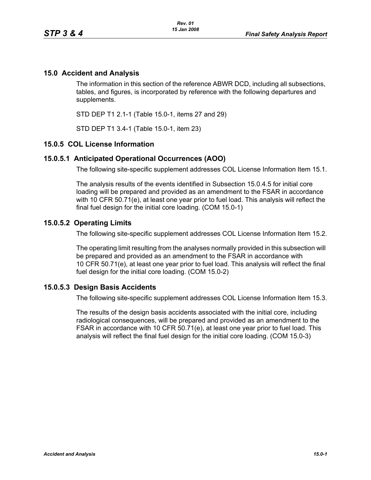## **15.0 Accident and Analysis**

The information in this section of the reference ABWR DCD, including all subsections, tables, and figures, is incorporated by reference with the following departures and supplements.

STD DEP T1 2.1-1 (Table 15.0-1, items 27 and 29)

STD DEP T1 3.4-1 (Table 15.0-1, item 23)

#### **15.0.5 COL License Information**

#### **15.0.5.1 Anticipated Operational Occurrences (AOO)**

The following site-specific supplement addresses COL License Information Item 15.1.

The analysis results of the events identified in Subsection 15.0.4.5 for initial core loading will be prepared and provided as an amendment to the FSAR in accordance with 10 CFR 50.71(e), at least one year prior to fuel load. This analysis will reflect the final fuel design for the initial core loading. (COM 15.0-1)

#### **15.0.5.2 Operating Limits**

The following site-specific supplement addresses COL License Information Item 15.2.

The operating limit resulting from the analyses normally provided in this subsection will be prepared and provided as an amendment to the FSAR in accordance with 10 CFR 50.71(e), at least one year prior to fuel load. This analysis will reflect the final fuel design for the initial core loading. (COM 15.0-2)

### **15.0.5.3 Design Basis Accidents**

The following site-specific supplement addresses COL License Information Item 15.3.

The results of the design basis accidents associated with the initial core, including radiological consequences, will be prepared and provided as an amendment to the FSAR in accordance with 10 CFR 50.71(e), at least one year prior to fuel load. This analysis will reflect the final fuel design for the initial core loading. (COM 15.0-3)